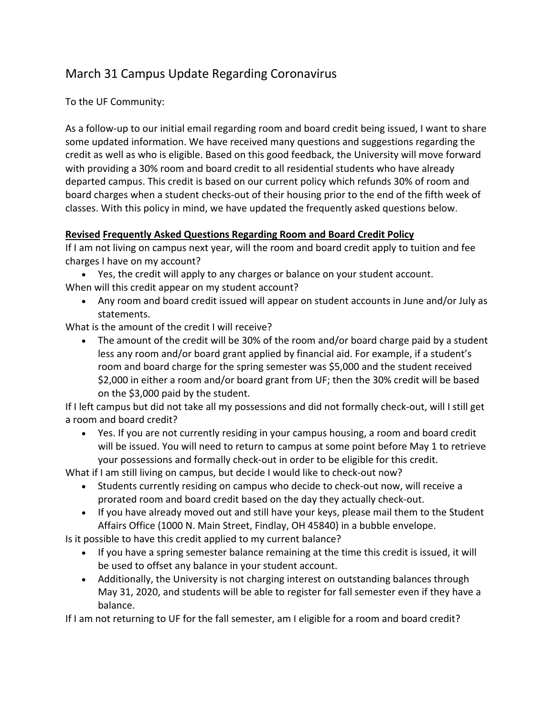## March 31 Campus Update Regarding Coronavirus

To the UF Community:

As a follow-up to our initial email regarding room and board credit being issued, I want to share some updated information. We have received many questions and suggestions regarding the credit as well as who is eligible. Based on this good feedback, the University will move forward with providing a 30% room and board credit to all residential students who have already departed campus. This credit is based on our current policy which refunds 30% of room and board charges when a student checks-out of their housing prior to the end of the fifth week of classes. With this policy in mind, we have updated the frequently asked questions below.

## **Revised Frequently Asked Questions Regarding Room and Board Credit Policy**

If I am not living on campus next year, will the room and board credit apply to tuition and fee charges I have on my account?

- Yes, the credit will apply to any charges or balance on your student account. When will this credit appear on my student account?
	- Any room and board credit issued will appear on student accounts in June and/or July as statements.

What is the amount of the credit I will receive?

• The amount of the credit will be 30% of the room and/or board charge paid by a student less any room and/or board grant applied by financial aid. For example, if a student's room and board charge for the spring semester was \$5,000 and the student received \$2,000 in either a room and/or board grant from UF; then the 30% credit will be based on the \$3,000 paid by the student.

If I left campus but did not take all my possessions and did not formally check-out, will I still get a room and board credit?

• Yes. If you are not currently residing in your campus housing, a room and board credit will be issued. You will need to return to campus at some point before May 1 to retrieve your possessions and formally check-out in order to be eligible for this credit.

What if I am still living on campus, but decide I would like to check-out now?

- Students currently residing on campus who decide to check-out now, will receive a prorated room and board credit based on the day they actually check-out.
- If you have already moved out and still have your keys, please mail them to the Student Affairs Office (1000 N. Main Street, Findlay, OH 45840) in a bubble envelope.

Is it possible to have this credit applied to my current balance?

- If you have a spring semester balance remaining at the time this credit is issued, it will be used to offset any balance in your student account.
- Additionally, the University is not charging interest on outstanding balances through May 31, 2020, and students will be able to register for fall semester even if they have a balance.

If I am not returning to UF for the fall semester, am I eligible for a room and board credit?